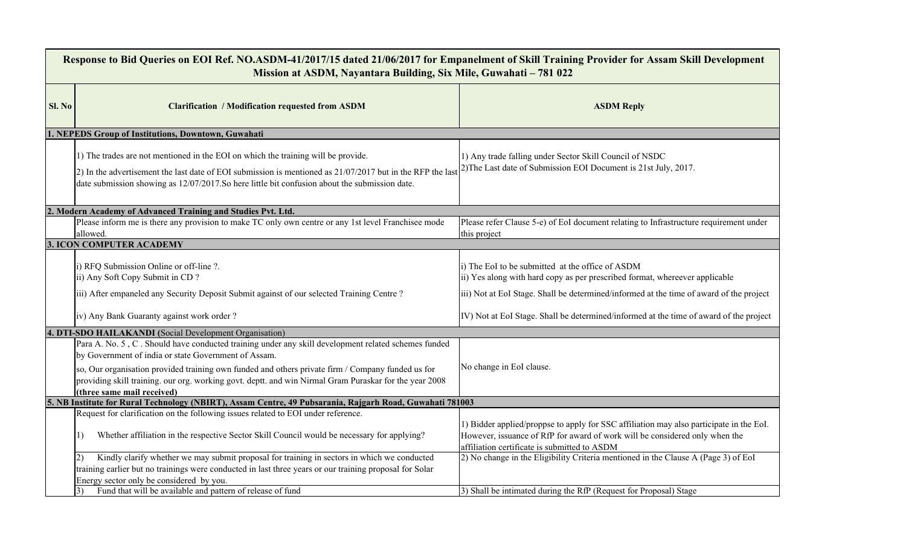| Response to Bid Queries on EOI Ref. NO.ASDM-41/2017/15 dated 21/06/2017 for Empanelment of Skill Training Provider for Assam Skill Development<br>Mission at ASDM, Nayantara Building, Six Mile, Guwahati - 781 022 |                                                                                                                                                                                                                                                                                                                                                                                                          |                                                                                                                                                                                                                            |  |  |  |
|---------------------------------------------------------------------------------------------------------------------------------------------------------------------------------------------------------------------|----------------------------------------------------------------------------------------------------------------------------------------------------------------------------------------------------------------------------------------------------------------------------------------------------------------------------------------------------------------------------------------------------------|----------------------------------------------------------------------------------------------------------------------------------------------------------------------------------------------------------------------------|--|--|--|
| Sl. No                                                                                                                                                                                                              | <b>Clarification / Modification requested from ASDM</b>                                                                                                                                                                                                                                                                                                                                                  | <b>ASDM Reply</b>                                                                                                                                                                                                          |  |  |  |
|                                                                                                                                                                                                                     | 1. NEPEDS Group of Institutions, Downtown, Guwahati                                                                                                                                                                                                                                                                                                                                                      |                                                                                                                                                                                                                            |  |  |  |
|                                                                                                                                                                                                                     | 1) The trades are not mentioned in the EOI on which the training will be provide.<br>2) In the advertisement the last date of EOI submission is mentioned as $21/07/2017$ but in the RFP the last<br>date submission showing as 12/07/2017. So here little bit confusion about the submission date.                                                                                                      | 1) Any trade falling under Sector Skill Council of NSDC<br>2) The Last date of Submission EOI Document is 21st July, 2017.                                                                                                 |  |  |  |
|                                                                                                                                                                                                                     | 2. Modern Academy of Advanced Training and Studies Pvt. Ltd.                                                                                                                                                                                                                                                                                                                                             |                                                                                                                                                                                                                            |  |  |  |
|                                                                                                                                                                                                                     | Please inform me is there any provision to make TC only own centre or any 1st level Franchisee mode<br>allowed.                                                                                                                                                                                                                                                                                          | Please refer Clause 5-e) of EoI document relating to Infrastructure requirement under<br>this project                                                                                                                      |  |  |  |
|                                                                                                                                                                                                                     | <b>3. ICON COMPUTER ACADEMY</b>                                                                                                                                                                                                                                                                                                                                                                          |                                                                                                                                                                                                                            |  |  |  |
|                                                                                                                                                                                                                     | i) RFQ Submission Online or off-line ?.<br>ii) Any Soft Copy Submit in CD?<br>iii) After empaneled any Security Deposit Submit against of our selected Training Centre?                                                                                                                                                                                                                                  | i) The EoI to be submitted at the office of ASDM<br>ii) Yes along with hard copy as per prescribed format, whereever applicable<br>iii) Not at EoI Stage. Shall be determined/informed at the time of award of the project |  |  |  |
|                                                                                                                                                                                                                     | iv) Any Bank Guaranty against work order?                                                                                                                                                                                                                                                                                                                                                                | IV) Not at EoI Stage. Shall be determined/informed at the time of award of the project                                                                                                                                     |  |  |  |
|                                                                                                                                                                                                                     | 4. DTI-SDO HAILAKANDI (Social Development Organisation)                                                                                                                                                                                                                                                                                                                                                  |                                                                                                                                                                                                                            |  |  |  |
|                                                                                                                                                                                                                     | Para A. No. 5, C. Should have conducted training under any skill development related schemes funded<br>by Government of india or state Government of Assam.<br>so, Our organisation provided training own funded and others private firm / Company funded us for<br>providing skill training. our org. working govt. deptt. and win Nirmal Gram Puraskar for the year 2008<br>(three same mail received) | No change in EoI clause.                                                                                                                                                                                                   |  |  |  |
|                                                                                                                                                                                                                     | 5. NB Institute for Rural Technology (NBIRT), Assam Centre, 49 Pubsarania, Rajgarh Road, Guwahati 781003                                                                                                                                                                                                                                                                                                 |                                                                                                                                                                                                                            |  |  |  |
|                                                                                                                                                                                                                     | Request for clarification on the following issues related to EOI under reference.<br>Whether affiliation in the respective Sector Skill Council would be necessary for applying?                                                                                                                                                                                                                         | 1) Bidder applied/proppse to apply for SSC affiliation may also participate in the EoI.<br>However, issuance of RfP for award of work will be considered only when the<br>affiliation certificate is submitted to ASDM     |  |  |  |
|                                                                                                                                                                                                                     | Kindly clarify whether we may submit proposal for training in sectors in which we conducted<br>2)<br>training earlier but no trainings were conducted in last three years or our training proposal for Solar<br>Energy sector only be considered by you.                                                                                                                                                 | 2) No change in the Eligibility Criteria mentioned in the Clause A (Page 3) of EoI                                                                                                                                         |  |  |  |
|                                                                                                                                                                                                                     | Fund that will be available and pattern of release of fund                                                                                                                                                                                                                                                                                                                                               | 3) Shall be intimated during the RfP (Request for Proposal) Stage                                                                                                                                                          |  |  |  |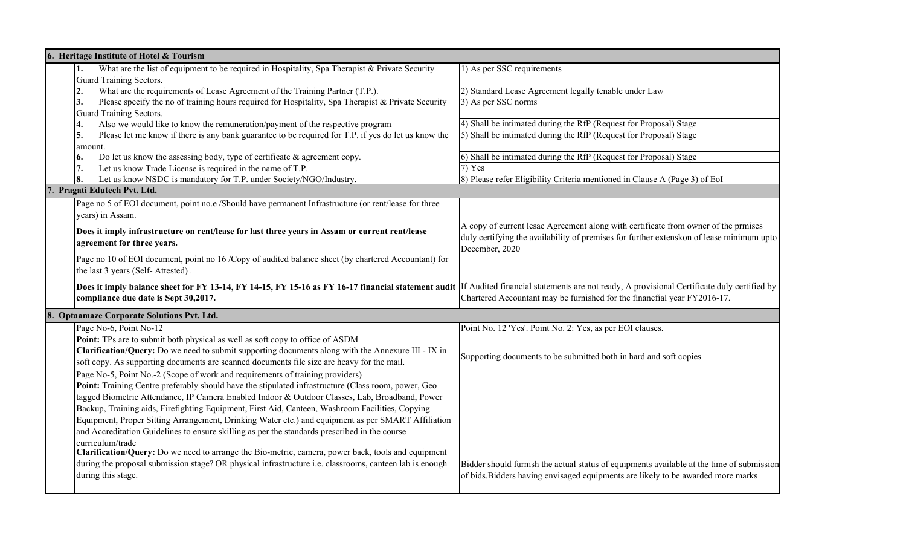| 6. Heritage Institute of Hotel & Tourism |                                                                                                                                                                                               |                                                                                           |  |  |
|------------------------------------------|-----------------------------------------------------------------------------------------------------------------------------------------------------------------------------------------------|-------------------------------------------------------------------------------------------|--|--|
|                                          | What are the list of equipment to be required in Hospitality, Spa Therapist & Private Security<br>1.                                                                                          | 1) As per SSC requirements                                                                |  |  |
|                                          | <b>Guard Training Sectors.</b>                                                                                                                                                                |                                                                                           |  |  |
|                                          | What are the requirements of Lease Agreement of the Training Partner (T.P.).<br>2.                                                                                                            | 2) Standard Lease Agreement legally tenable under Law                                     |  |  |
|                                          | Please specify the no of training hours required for Hospitality, Spa Therapist & Private Security<br>3.                                                                                      | 3) As per SSC norms                                                                       |  |  |
|                                          | <b>Guard Training Sectors.</b>                                                                                                                                                                |                                                                                           |  |  |
|                                          | Also we would like to know the remuneration/payment of the respective program<br>4.                                                                                                           | 4) Shall be intimated during the RfP (Request for Proposal) Stage                         |  |  |
|                                          | Please let me know if there is any bank guarantee to be required for T.P. if yes do let us know the<br>5.                                                                                     | 5) Shall be intimated during the RfP (Request for Proposal) Stage                         |  |  |
|                                          | amount.                                                                                                                                                                                       |                                                                                           |  |  |
|                                          | Do let us know the assessing body, type of certificate $\&$ agreement copy.<br>6.                                                                                                             | 6) Shall be intimated during the RfP (Request for Proposal) Stage                         |  |  |
|                                          | Let us know Trade License is required in the name of T.P.<br>7.                                                                                                                               | $7)$ Yes                                                                                  |  |  |
|                                          | Let us know NSDC is mandatory for T.P. under Society/NGO/Industry.<br>8.                                                                                                                      | 8) Please refer Eligibility Criteria mentioned in Clause A (Page 3) of EoI                |  |  |
|                                          | 7. Pragati Edutech Pvt. Ltd.                                                                                                                                                                  |                                                                                           |  |  |
|                                          | Page no 5 of EOI document, point no.e /Should have permanent Infrastructure (or rent/lease for three                                                                                          |                                                                                           |  |  |
|                                          | years) in Assam.                                                                                                                                                                              |                                                                                           |  |  |
|                                          | Does it imply infrastructure on rent/lease for last three years in Assam or current rent/lease                                                                                                | A copy of current lesae Agreement along with certificate from owner of the prmises        |  |  |
|                                          | agreement for three years.                                                                                                                                                                    | duly certifying the availability of premises for further extenskon of lease minimum upto  |  |  |
|                                          |                                                                                                                                                                                               | December, 2020                                                                            |  |  |
|                                          | Page no 10 of EOI document, point no 16 /Copy of audited balance sheet (by chartered Accountant) for                                                                                          |                                                                                           |  |  |
|                                          | the last 3 years (Self-Attested).                                                                                                                                                             |                                                                                           |  |  |
|                                          | Does it imply balance sheet for FY 13-14, FY 14-15, FY 15-16 as FY 16-17 financial statement audit If Audited financial statements are not ready, A provisional Certificate duly certified by |                                                                                           |  |  |
|                                          | compliance due date is Sept 30,2017.                                                                                                                                                          | Chartered Accountant may be furnished for the financfial year FY2016-17.                  |  |  |
|                                          |                                                                                                                                                                                               |                                                                                           |  |  |
|                                          | 8. Optaamaze Corporate Solutions Pvt. Ltd.                                                                                                                                                    |                                                                                           |  |  |
|                                          | Page No-6, Point No-12                                                                                                                                                                        | Point No. 12 'Yes'. Point No. 2: Yes, as per EOI clauses.                                 |  |  |
|                                          | Point: TPs are to submit both physical as well as soft copy to office of ASDM                                                                                                                 |                                                                                           |  |  |
|                                          | Clarification/Query: Do we need to submit supporting documents along with the Annexure III - IX in                                                                                            | Supporting documents to be submitted both in hard and soft copies                         |  |  |
|                                          | soft copy. As supporting documents are scanned documents file size are heavy for the mail.                                                                                                    |                                                                                           |  |  |
|                                          | Page No-5, Point No.-2 (Scope of work and requirements of training providers)                                                                                                                 |                                                                                           |  |  |
|                                          | Point: Training Centre preferably should have the stipulated infrastructure (Class room, power, Geo                                                                                           |                                                                                           |  |  |
|                                          | tagged Biometric Attendance, IP Camera Enabled Indoor & Outdoor Classes, Lab, Broadband, Power                                                                                                |                                                                                           |  |  |
|                                          | Backup, Training aids, Firefighting Equipment, First Aid, Canteen, Washroom Facilities, Copying                                                                                               |                                                                                           |  |  |
|                                          | Equipment, Proper Sitting Arrangement, Drinking Water etc.) and equipment as per SMART Affiliation                                                                                            |                                                                                           |  |  |
|                                          | and Accreditation Guidelines to ensure skilling as per the standards prescribed in the course                                                                                                 |                                                                                           |  |  |
|                                          | curriculum/trade                                                                                                                                                                              |                                                                                           |  |  |
|                                          | Clarification/Query: Do we need to arrange the Bio-metric, camera, power back, tools and equipment                                                                                            |                                                                                           |  |  |
|                                          | during the proposal submission stage? OR physical infrastructure i.e. classrooms, canteen lab is enough                                                                                       | Bidder should furnish the actual status of equipments available at the time of submission |  |  |
|                                          | during this stage.                                                                                                                                                                            | of bids. Bidders having envisaged equipments are likely to be awarded more marks          |  |  |
|                                          |                                                                                                                                                                                               |                                                                                           |  |  |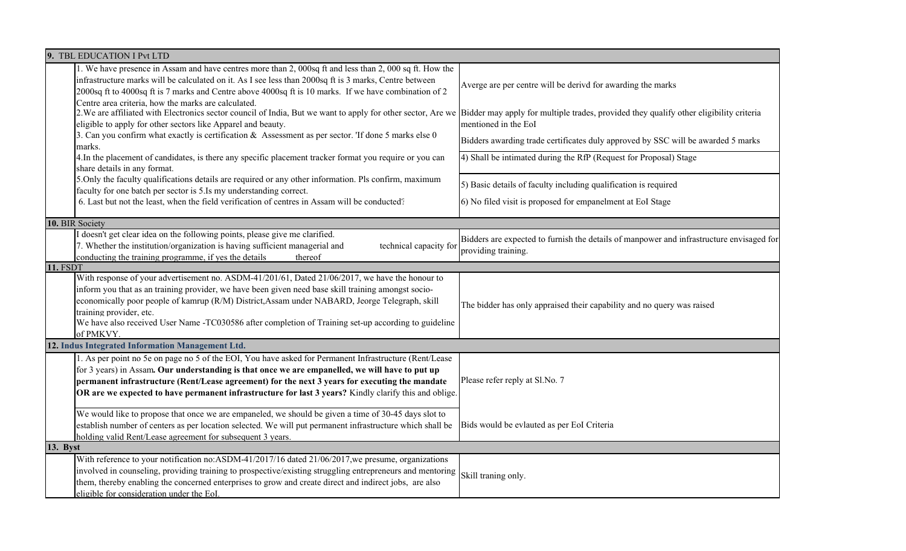| 9. TBL EDUCATION I Pvt LTD                                                                                                                                                                                                                                                                                                                                                                                                                               |                                                                                                                 |  |  |  |
|----------------------------------------------------------------------------------------------------------------------------------------------------------------------------------------------------------------------------------------------------------------------------------------------------------------------------------------------------------------------------------------------------------------------------------------------------------|-----------------------------------------------------------------------------------------------------------------|--|--|--|
| 1. We have presence in Assam and have centres more than 2, 000sq ft and less than 2, 000 sq ft. How the<br>infrastructure marks will be calculated on it. As I see less than 2000sq ft is 3 marks, Centre between<br>2000sq ft to 4000sq ft is 7 marks and Centre above 4000sq ft is 10 marks. If we have combination of 2                                                                                                                               | Averge are per centre will be derivd for awarding the marks                                                     |  |  |  |
| Centre area criteria, how the marks are calculated.<br>2. We are affiliated with Electronics sector council of India, But we want to apply for other sector, Are we Bidder may apply for multiple trades, provided they qualify other eligibility criteria<br>eligible to apply for other sectors like Apparel and beauty.<br>3. Can you confirm what exactly is certification & Assessment as per sector. 'If done 5 marks else 0<br>marks.             | mentioned in the EoI<br>Bidders awarding trade certificates duly approved by SSC will be awarded 5 marks        |  |  |  |
| 4. In the placement of candidates, is there any specific placement tracker format you require or you can<br>share details in any format.                                                                                                                                                                                                                                                                                                                 | 4) Shall be intimated during the RfP (Request for Proposal) Stage                                               |  |  |  |
| 5. Only the faculty qualifications details are required or any other information. Pls confirm, maximum<br>faculty for one batch per sector is 5.Is my understanding correct.                                                                                                                                                                                                                                                                             | 5) Basic details of faculty including qualification is required                                                 |  |  |  |
| 6. Last but not the least, when the field verification of centres in Assam will be conducted?                                                                                                                                                                                                                                                                                                                                                            | 6) No filed visit is proposed for empanelment at EoI Stage                                                      |  |  |  |
| 10. BIR Society                                                                                                                                                                                                                                                                                                                                                                                                                                          |                                                                                                                 |  |  |  |
| I doesn't get clear idea on the following points, please give me clarified.<br>7. Whether the institution/organization is having sufficient managerial and<br>technical capacity for<br>conducting the training programme, if yes the details<br>thereof                                                                                                                                                                                                 | Bidders are expected to furnish the details of manpower and infrastructure envisaged for<br>providing training. |  |  |  |
| <b>11. FSDT</b>                                                                                                                                                                                                                                                                                                                                                                                                                                          |                                                                                                                 |  |  |  |
| With response of your advertisement no. ASDM-41/201/61, Dated 21/06/2017, we have the honour to<br>inform you that as an training provider, we have been given need base skill training amongst socio-<br>economically poor people of kamrup (R/M) District, Assam under NABARD, Jeorge Telegraph, skill<br>training provider, etc.<br>We have also received User Name -TC030586 after completion of Training set-up according to guideline<br>of PMKVY. | The bidder has only appraised their capability and no query was raised                                          |  |  |  |
| 12. Indus Integrated Information Management Ltd.                                                                                                                                                                                                                                                                                                                                                                                                         |                                                                                                                 |  |  |  |
| 1. As per point no 5e on page no 5 of the EOI, You have asked for Permanent Infrastructure (Rent/Lease<br>for 3 years) in Assam. Our understanding is that once we are empanelled, we will have to put up<br>permanent infrastructure (Rent/Lease agreement) for the next 3 years for executing the mandate<br>OR are we expected to have permanent infrastructure for last 3 years? Kindly clarify this and oblige.                                     | Please refer reply at Sl.No. 7                                                                                  |  |  |  |
| We would like to propose that once we are empaneled, we should be given a time of 30-45 days slot to<br>establish number of centers as per location selected. We will put permanent infrastructure which shall be<br>holding valid Rent/Lease agreement for subsequent 3 years.                                                                                                                                                                          | Bids would be evlauted as per EoI Criteria                                                                      |  |  |  |
| 13. Byst                                                                                                                                                                                                                                                                                                                                                                                                                                                 |                                                                                                                 |  |  |  |
| With reference to your notification no:ASDM-41/2017/16 dated 21/06/2017, we presume, organizations<br>involved in counseling, providing training to prospective/existing struggling entrepreneurs and mentoring<br>them, thereby enabling the concerned enterprises to grow and create direct and indirect jobs, are also<br>eligible for consideration under the EoI.                                                                                   | Skill traning only.                                                                                             |  |  |  |